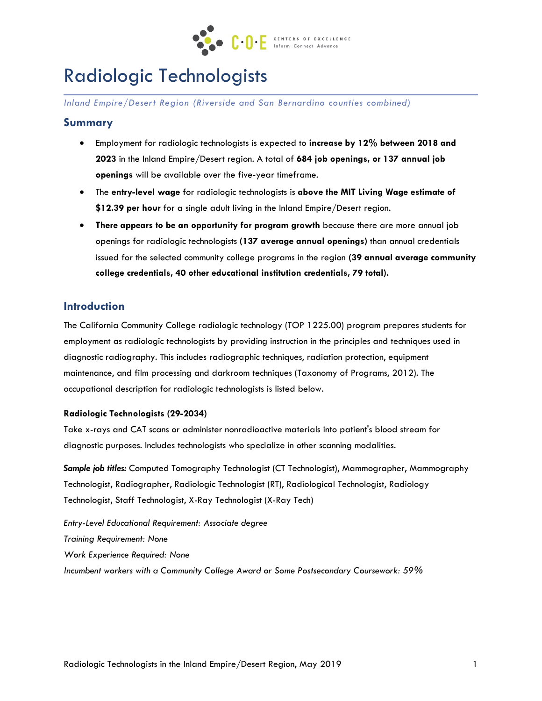

# Radiologic Technologists

*Inland Empire/Desert Region (Riverside and San Bernardino counties combined)* 

### **Summary**

- Employment for radiologic technologists is expected to **increase by 12% between 2018 and 2023** in the Inland Empire/Desert region. A total of **684 job openings, or 137 annual job openings** will be available over the five-year timeframe.
- The **entry-level wage** for radiologic technologists is **above the MIT Living Wage estimate of \$12.39 per hour** for a single adult living in the Inland Empire/Desert region.
- **There appears to be an opportunity for program growth** because there are more annual job openings for radiologic technologists **(137 average annual openings)** than annual credentials issued for the selected community college programs in the region **(39 annual average community college credentials, 40 other educational institution credentials, 79 total).**

## **Introduction**

The California Community College radiologic technology (TOP 1225.00) program prepares students for employment as radiologic technologists by providing instruction in the principles and techniques used in diagnostic radiography. This includes radiographic techniques, radiation protection, equipment maintenance, and film processing and darkroom techniques (Taxonomy of Programs, 2012). The occupational description for radiologic technologists is listed below.

#### **Radiologic Technologists (29-2034)**

Take x-rays and CAT scans or administer nonradioactive materials into patient's blood stream for diagnostic purposes. Includes technologists who specialize in other scanning modalities.

*Sample job titles:* Computed Tomography Technologist (CT Technologist), Mammographer, Mammography Technologist, Radiographer, Radiologic Technologist (RT), Radiological Technologist, Radiology Technologist, Staff Technologist, X-Ray Technologist (X-Ray Tech)

*Entry-Level Educational Requirement: Associate degree Training Requirement: None Work Experience Required: None Incumbent workers with a Community College Award or Some Postsecondary Coursework: 59%*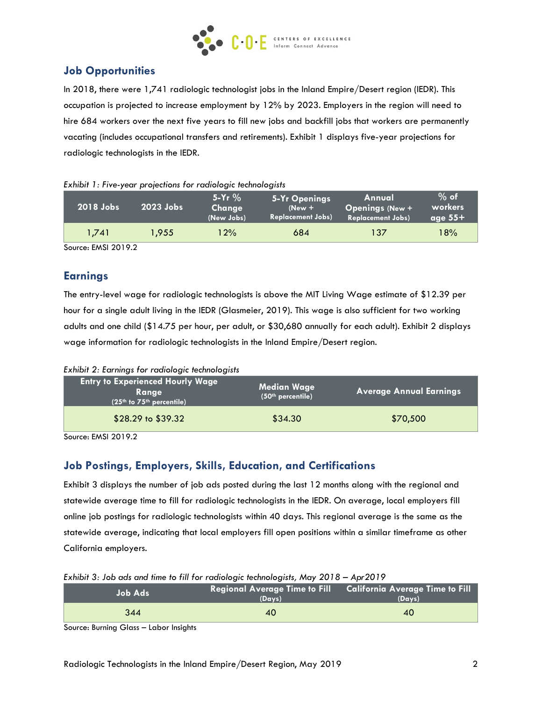

# **Job Opportunities**

In 2018, there were 1,741 radiologic technologist jobs in the Inland Empire/Desert region (IEDR). This occupation is projected to increase employment by 12% by 2023. Employers in the region will need to hire 684 workers over the next five years to fill new jobs and backfill jobs that workers are permanently vacating (includes occupational transfers and retirements). Exhibit 1 displays five-year projections for radiologic technologists in the IEDR.

|  | Exhibit 1: Five-year projections for radiologic technologists |  |  |  |
|--|---------------------------------------------------------------|--|--|--|
|  |                                                               |  |  |  |

| 2018 Jobs | $2023$ Jobs | $5 - Yr$ %<br>Change<br>(New Jobs) | 5-Yr Openings<br>$New +$<br><b>Replacement Jobs)</b> | Annual<br><b>Openings (New +</b><br><b>Replacement Jobs)</b> | $%$ of<br>workers<br>age $55+$ |
|-----------|-------------|------------------------------------|------------------------------------------------------|--------------------------------------------------------------|--------------------------------|
| 1.741     | 1.955       | $2\%$                              | 684                                                  | 137                                                          | 8% ا                           |

Source: EMSI 2019.2

## **Earnings**

The entry-level wage for radiologic technologists is above the MIT Living Wage estimate of \$12.39 per hour for a single adult living in the IEDR (Glasmeier, 2019). This wage is also sufficient for two working adults and one child (\$14.75 per hour, per adult, or \$30,680 annually for each adult). Exhibit 2 displays wage information for radiologic technologists in the Inland Empire/Desert region.

*Exhibit 2: Earnings for radiologic technologists*

| Entry to Experienced Hourly Wage <b>b</b><br>Ranae<br>(25th to 75th percentile) | <b>Median Wage</b><br>(50 <sup>th</sup> percentile) | <b>Average Annual Earnings</b> |
|---------------------------------------------------------------------------------|-----------------------------------------------------|--------------------------------|
| \$28.29 to \$39.32                                                              | \$34.30                                             | \$70,500                       |

Source: EMSI 2019.2

# **Job Postings, Employers, Skills, Education, and Certifications**

Exhibit 3 displays the number of job ads posted during the last 12 months along with the regional and statewide average time to fill for radiologic technologists in the IEDR. On average, local employers fill online job postings for radiologic technologists within 40 days. This regional average is the same as the statewide average, indicating that local employers fill open positions within a similar timeframe as other California employers.

| $\sim$ . The state and the state in the state of the state of the state of $\sim$ state $\sim$ . The state |                                                                         |        |  |  |
|------------------------------------------------------------------------------------------------------------|-------------------------------------------------------------------------|--------|--|--|
| 'Job Ads i                                                                                                 | Regional Average Time to Fill California Average Time to Fill<br>(Davs) | (Days) |  |  |
| 344                                                                                                        | 40                                                                      | 40     |  |  |
| $ -$<br>.                                                                                                  |                                                                         |        |  |  |

*Exhibit 3: Job ads and time to fill for radiologic technologists, May 2018 – Apr2019*

Source: Burning Glass – Labor Insights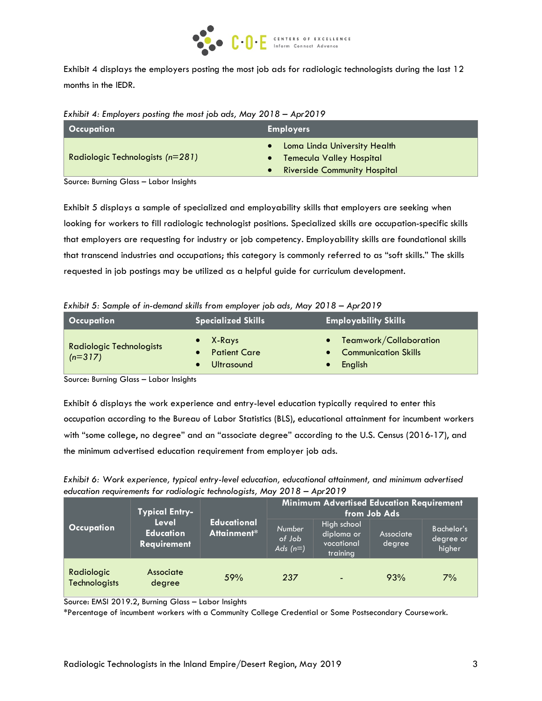

Exhibit 4 displays the employers posting the most job ads for radiologic technologists during the last 12 months in the IEDR.

*Exhibit 4: Employers posting the most job ads, May 2018 – Apr2019*

| Occupation                                  | <b>Employers</b>                                                                                    |  |
|---------------------------------------------|-----------------------------------------------------------------------------------------------------|--|
| Radiologic Technologists $(n=281)$          | • Loma Linda University Health<br>• Temecula Valley Hospital<br><b>Riverside Community Hospital</b> |  |
| Carriera División Olarea - Labara bastablea |                                                                                                     |  |

Source: Burning Glass – Labor Insights

Exhibit 5 displays a sample of specialized and employability skills that employers are seeking when looking for workers to fill radiologic technologist positions. Specialized skills are occupation-specific skills that employers are requesting for industry or job competency. Employability skills are foundational skills that transcend industries and occupations; this category is commonly referred to as "soft skills." The skills requested in job postings may be utilized as a helpful guide for curriculum development.

*Exhibit 5: Sample of in-demand skills from employer job ads, May 2018 – Apr2019*

| <b>Occupation</b>                            | <b>Specialized Skills</b>                   | <b>Employability Skills</b>                                   |  |  |
|----------------------------------------------|---------------------------------------------|---------------------------------------------------------------|--|--|
| <b>Radiologic Technologists</b><br>$(n=317)$ | X-Rays<br><b>Patient Care</b><br>Ultrasound | • Teamwork/Collaboration<br>• Communication Skills<br>English |  |  |

Source: Burning Glass – Labor Insights

Exhibit 6 displays the work experience and entry-level education typically required to enter this occupation according to the Bureau of Labor Statistics (BLS), educational attainment for incumbent workers with "some college, no degree" and an "associate degree" according to the U.S. Census (2016-17), and the minimum advertised education requirement from employer job ads.

*Exhibit 6: Work experience, typical entry-level education, educational attainment, and minimum advertised education requirements for radiologic technologists, May 2018 – Apr2019*

| <b>Typical Entry-</b>              |                                                        | <b>Minimum Advertised Education Requirement</b><br>from Job Ads |                                |                                                     |                     |                                     |
|------------------------------------|--------------------------------------------------------|-----------------------------------------------------------------|--------------------------------|-----------------------------------------------------|---------------------|-------------------------------------|
| <b>Occupation</b>                  | <b>Level</b><br><b>Education</b><br><b>Requirement</b> | <b>Educational</b><br>Attainment*                               | Number<br>of Job<br>Ads $(n=)$ | High school<br>diploma or<br>vocational<br>training | Associate<br>degree | Bachelor's<br>'degree or,<br>higher |
| Radiologic<br><b>Technologists</b> | Associate<br>degree                                    | 59%                                                             | 237                            | $\overline{\phantom{0}}$                            | 93%                 | 7%                                  |

Source: EMSI 2019.2, Burning Glass – Labor Insights

\*Percentage of incumbent workers with a Community College Credential or Some Postsecondary Coursework.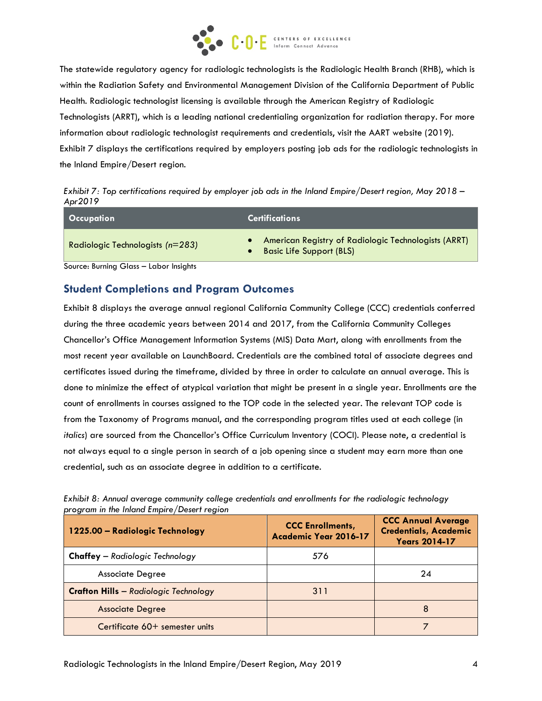

The statewide regulatory agency for radiologic technologists is the Radiologic Health Branch (RHB), which is within the Radiation Safety and Environmental Management Division of the California Department of Public Health. Radiologic technologist licensing is available through the American Registry of Radiologic Technologists (ARRT), which is a leading national credentialing organization for radiation therapy. For more information about radiologic technologist requirements and credentials, visit the AART website (2019). Exhibit 7 displays the certifications required by employers posting job ads for the radiologic technologists in the Inland Empire/Desert region.

*Exhibit 7: Top certifications required by employer job ads in the Inland Empire/Desert region, May 2018 – Apr2019*

| Occupation                         | <u>l</u> Certifications i                                                               |  |
|------------------------------------|-----------------------------------------------------------------------------------------|--|
| Radiologic Technologists $(n=283)$ | American Registry of Radiologic Technologists (ARRT)<br><b>Basic Life Support (BLS)</b> |  |

Source: Burning Glass – Labor Insights

## **Student Completions and Program Outcomes**

Exhibit 8 displays the average annual regional California Community College (CCC) credentials conferred during the three academic years between 2014 and 2017, from the California Community Colleges Chancellor's Office Management Information Systems (MIS) Data Mart, along with enrollments from the most recent year available on LaunchBoard. Credentials are the combined total of associate degrees and certificates issued during the timeframe, divided by three in order to calculate an annual average. This is done to minimize the effect of atypical variation that might be present in a single year. Enrollments are the count of enrollments in courses assigned to the TOP code in the selected year. The relevant TOP code is from the Taxonomy of Programs manual, and the corresponding program titles used at each college (in *italics*) are sourced from the Chancellor's Office Curriculum Inventory (COCI). Please note, a credential is not always equal to a single person in search of a job opening since a student may earn more than one credential, such as an associate degree in addition to a certificate.

| 1225.00 - Radiologic Technology              | <b>CCC Enrollments,</b><br>Academic Year 2016-17 | <b>CCC Annual Average</b><br><b>Credentials, Academic</b><br><b>Years 2014-17</b> |
|----------------------------------------------|--------------------------------------------------|-----------------------------------------------------------------------------------|
| <b>Chaffey</b> - Radiologic Technology       | 576                                              |                                                                                   |
| <b>Associate Degree</b>                      |                                                  | 24                                                                                |
| <b>Crafton Hills</b> - Radiologic Technology | 311                                              |                                                                                   |
| <b>Associate Degree</b>                      |                                                  | 8                                                                                 |
| Certificate 60+ semester units               |                                                  |                                                                                   |

*Exhibit 8: Annual average community college credentials and enrollments for the radiologic technology program in the Inland Empire/Desert region*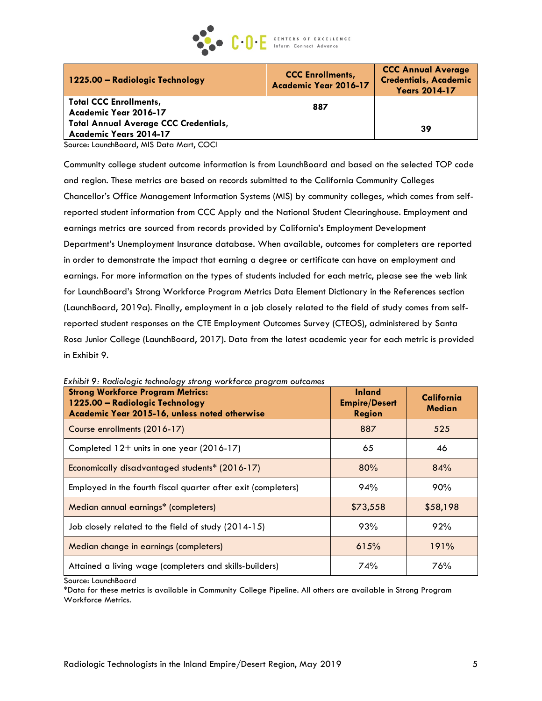

| 1225.00 - Radiologic Technology                                        | <b>CCC Enrollments,</b><br>Academic Year 2016-17 | <b>CCC Annual Average</b><br><b>Credentials, Academic</b><br><b>Years 2014-17</b> |
|------------------------------------------------------------------------|--------------------------------------------------|-----------------------------------------------------------------------------------|
| <b>Total CCC Enrollments,</b><br>Academic Year 2016-17                 | 887                                              |                                                                                   |
| <b>Total Annual Average CCC Credentials,</b><br>Academic Years 2014-17 |                                                  | 39                                                                                |

Source: LaunchBoard, MIS Data Mart, COCI

Community college student outcome information is from LaunchBoard and based on the selected TOP code and region. These metrics are based on records submitted to the California Community Colleges Chancellor's Office Management Information Systems (MIS) by community colleges, which comes from selfreported student information from CCC Apply and the National Student Clearinghouse. Employment and earnings metrics are sourced from records provided by California's Employment Development Department's Unemployment Insurance database. When available, outcomes for completers are reported in order to demonstrate the impact that earning a degree or certificate can have on employment and earnings. For more information on the types of students included for each metric, please see the web link for LaunchBoard's Strong Workforce Program Metrics Data Element Dictionary in the References section (LaunchBoard, 2019a). Finally, employment in a job closely related to the field of study comes from selfreported student responses on the CTE Employment Outcomes Survey (CTEOS), administered by Santa Rosa Junior College (LaunchBoard, 2017). Data from the latest academic year for each metric is provided in Exhibit 9.

| <b>Strong Workforce Program Metrics:</b><br>1225.00 - Radiologic Technology<br>Academic Year 2015-16, unless noted otherwise | <b>Inland</b><br><b>Empire/Desert</b><br><b>Region</b> | California<br>Median |
|------------------------------------------------------------------------------------------------------------------------------|--------------------------------------------------------|----------------------|
| Course enrollments (2016-17)                                                                                                 | 887                                                    | 525                  |
| Completed 12+ units in one year (2016-17)                                                                                    | 65                                                     | 46                   |
| Economically disadvantaged students* (2016-17)                                                                               | 80%                                                    | 84%                  |
| Employed in the fourth fiscal quarter after exit (completers)                                                                | 94%                                                    | 90%                  |
| Median annual earnings* (completers)                                                                                         | \$73,558                                               | \$58,198             |
| Job closely related to the field of study (2014-15)                                                                          | 93%                                                    | 92%                  |
| Median change in earnings (completers)                                                                                       | 615%                                                   | 191%                 |
| Attained a living wage (completers and skills-builders)                                                                      | 74%                                                    | 76%                  |

*Exhibit 9: Radiologic technology strong workforce program outcomes*

Source: LaunchBoard

\*Data for these metrics is available in Community College Pipeline. All others are available in Strong Program Workforce Metrics.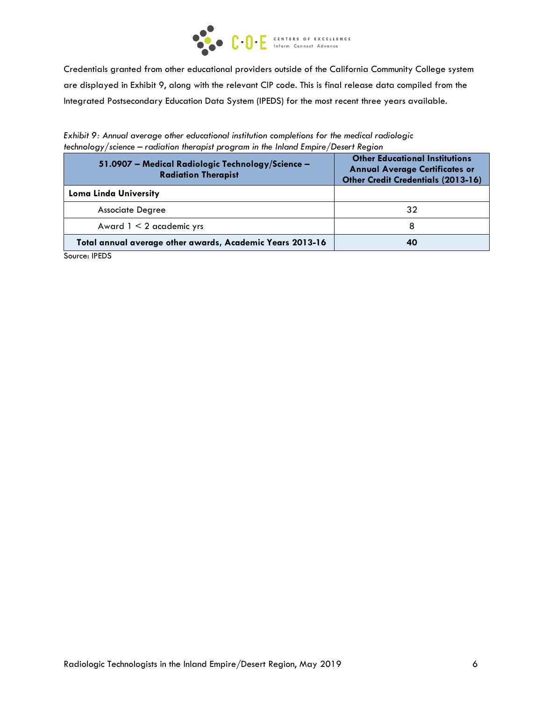

Credentials granted from other educational providers outside of the California Community College system are displayed in Exhibit 9, along with the relevant CIP code. This is final release data compiled from the Integrated Postsecondary Education Data System (IPEDS) for the most recent three years available.

*Exhibit 9: Annual average other educational institution completions for the medical radiologic technology/science – radiation therapist program in the Inland Empire/Desert Region*

| 51.0907 - Medical Radiologic Technology/Science -<br><b>Radiation Therapist</b> | <b>Other Educational Institutions</b><br><b>Annual Average Certificates or</b><br><b>Other Credit Credentials (2013-16)</b> |
|---------------------------------------------------------------------------------|-----------------------------------------------------------------------------------------------------------------------------|
| <b>Loma Linda University</b>                                                    |                                                                                                                             |
| <b>Associate Degree</b>                                                         | 32                                                                                                                          |
| Award $1 < 2$ academic yrs                                                      | 8                                                                                                                           |
| Total annual average other awards, Academic Years 2013-16                       | 40                                                                                                                          |

Source: IPEDS